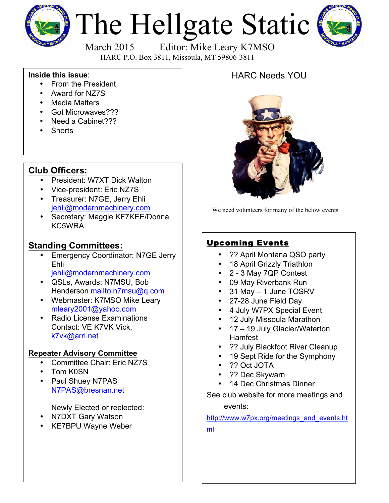

# The Hellgate Static



March 2015 Editor: Mike Leary K7MSO HARC P.O. Box 3811, Missoula, MT 59806-3811

#### **Inside this issue**:

- From the President
- Award for NZ7S
- Media Matters
- Got Microwaves???
- Need a Cabinet???
- Shorts

### **Club Officers:**

- President: W7XT Dick Walton
- Vice-president: Eric NZ7S
- Treasurer: N7GE, Jerry Ehli jehli@modernmachinery.com
- Secretary: Maggie KF7KEE/Donna KC5WRA

#### **Standing Committees:**

- **Emergency Coordinator: N7GE Jerry** Ehli
	- jehli@modernmachinery.com
- QSLs, Awards: N7MSU, Bob Henderson mailto:n7msu@q.com
- Webmaster: K7MSO Mike Leary mleary2001@yahoo.com
- Radio License Examinations Contact: VE K7VK Vick, k7vk@arrl.net

#### **Repeater Advisory Committee**

- Committee Chair: Eric NZ7S
- Tom K0SN
- Paul Shuey N7PAS N7PAS@bresnan.net

Newly Elected or reelected:

- N7DXT Gary Watson
- KE7BPU Wayne Weber

## HARC Needs YOU



We need volunteers for many of the below events

### Upcoming Events

- ?? April Montana QSO party
- 18 April Grizzly Triathlon
- 2 3 May 7QP Contest
- 09 May Riverbank Run
- 31 May 1 June TOSRV
- 27-28 June Field Day
- 4 July W7PX Special Event
- 12 July Missoula Marathon
- 17 19 July Glacier/Waterton **Hamfest**
- ?? July Blackfoot River Cleanup
- 19 Sept Ride for the Symphony
- ?? Oct JOTA
- ?? Dec Skywarn
- 14 Dec Christmas Dinner

See club website for more meetings and

events:

http://www.w7px.org/meetings\_and\_events.ht ml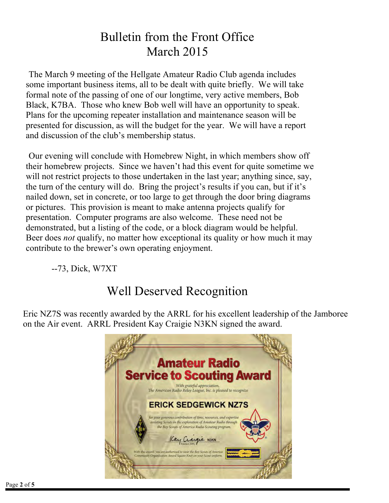## Bulletin from the Front Office March 2015

The March 9 meeting of the Hellgate Amateur Radio Club agenda includes some important business items, all to be dealt with quite briefly. We will take formal note of the passing of one of our longtime, very active members, Bob Black, K7BA. Those who knew Bob well will have an opportunity to speak. Plans for the upcoming repeater installation and maintenance season will be presented for discussion, as will the budget for the year. We will have a report and discussion of the club's membership status.

Our evening will conclude with Homebrew Night, in which members show off their homebrew projects. Since we haven't had this event for quite sometime we will not restrict projects to those undertaken in the last year; anything since, say, the turn of the century will do. Bring the project's results if you can, but if it's nailed down, set in concrete, or too large to get through the door bring diagrams or pictures. This provision is meant to make antenna projects qualify for presentation. Computer programs are also welcome. These need not be demonstrated, but a listing of the code, or a block diagram would be helpful. Beer does *not* qualify, no matter how exceptional its quality or how much it may contribute to the brewer's own operating enjoyment.

--73, Dick, W7XT

# Well Deserved Recognition

Eric NZ7S was recently awarded by the ARRL for his excellent leadership of the Jamboree on the Air event. ARRL President Kay Craigie N3KN signed the award.

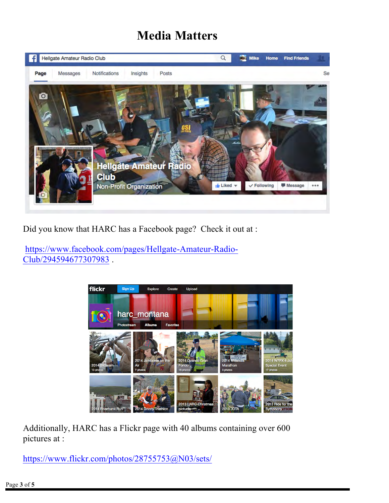## **Media Matters**



Did you know that HARC has a Facebook page? Check it out at :

https://www.facebook.com/pages/Hellgate-Amateur-Radio-Club/294594677307983 .



Additionally, HARC has a Flickr page with 40 albums containing over 600 pictures at :

https://www.flickr.com/photos/28755753@N03/sets/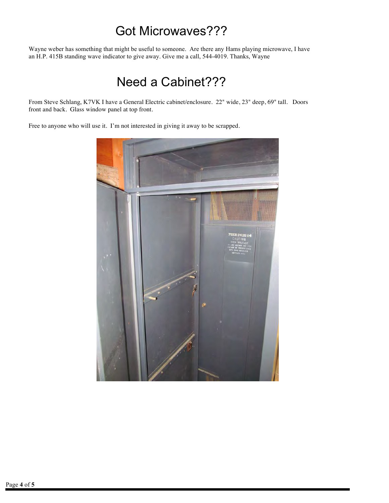## Got Microwaves???

Wayne weber has something that might be useful to someone. Are there any Hams playing microwave, I have an H.P. 415B standing wave indicator to give away. Give me a call, 544-4019. Thanks, Wayne

## Need a Cabinet???

From Steve Schlang, K7VK I have a General Electric cabinet/enclosure. 22" wide, 23" deep, 69" tall. Doors front and back. Glass window panel at top front.

Free to anyone who will use it. I'm not interested in giving it away to be scrapped.